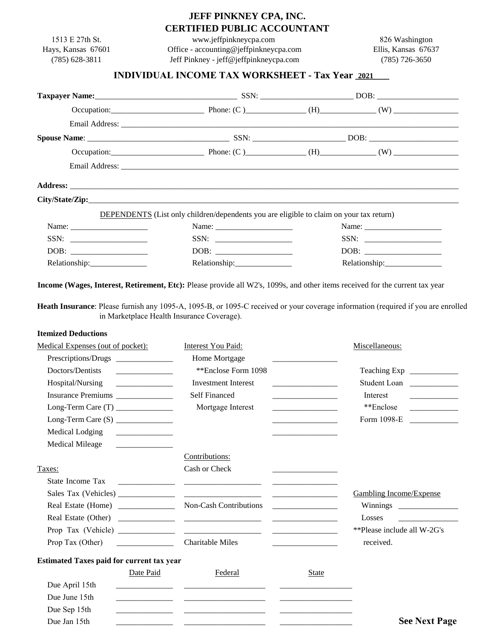## **JEFF PINKNEY CPA, INC. CERTIFIED PUBLIC ACCOUNTANT**

|                                                                                                                       |                                                                                                                       | <b>CERTIFIED PUBLIC ACCOUNTANT</b>                                                                                                                                                                                                  |                                                                                                                      |                                         |
|-----------------------------------------------------------------------------------------------------------------------|-----------------------------------------------------------------------------------------------------------------------|-------------------------------------------------------------------------------------------------------------------------------------------------------------------------------------------------------------------------------------|----------------------------------------------------------------------------------------------------------------------|-----------------------------------------|
| 1513 E 27th St.                                                                                                       |                                                                                                                       | www.jeffpinkneycpa.com                                                                                                                                                                                                              |                                                                                                                      | 826 Washington                          |
| Hays, Kansas 67601<br>$(785)$ 628-3811                                                                                |                                                                                                                       | Office - accounting@jeffpinkneycpa.com<br>Jeff Pinkney - jeff@jeffpinkneycpa.com                                                                                                                                                    |                                                                                                                      | Ellis, Kansas 67637<br>$(785)$ 726-3650 |
|                                                                                                                       |                                                                                                                       | <b>INDIVIDUAL INCOME TAX WORKSHEET - Tax Year 2021</b>                                                                                                                                                                              |                                                                                                                      |                                         |
|                                                                                                                       |                                                                                                                       |                                                                                                                                                                                                                                     |                                                                                                                      |                                         |
|                                                                                                                       |                                                                                                                       |                                                                                                                                                                                                                                     |                                                                                                                      |                                         |
|                                                                                                                       |                                                                                                                       |                                                                                                                                                                                                                                     |                                                                                                                      |                                         |
|                                                                                                                       |                                                                                                                       |                                                                                                                                                                                                                                     |                                                                                                                      |                                         |
|                                                                                                                       |                                                                                                                       |                                                                                                                                                                                                                                     |                                                                                                                      |                                         |
|                                                                                                                       |                                                                                                                       |                                                                                                                                                                                                                                     |                                                                                                                      | Occupation: Phone: $(C)$ (H) (W)        |
|                                                                                                                       |                                                                                                                       |                                                                                                                                                                                                                                     |                                                                                                                      |                                         |
|                                                                                                                       |                                                                                                                       | Address: <u>Address:</u> Address: Address: Address: Address: Address: Address: Address: Address: Address: Address: Address: Address: Address: Address: Address: Address: Address: Address: Address: Address: Address: Address: Addr |                                                                                                                      |                                         |
|                                                                                                                       |                                                                                                                       |                                                                                                                                                                                                                                     |                                                                                                                      |                                         |
|                                                                                                                       |                                                                                                                       | <b>DEPENDENTS</b> (List only children/dependents you are eligible to claim on your tax return)                                                                                                                                      |                                                                                                                      |                                         |
|                                                                                                                       |                                                                                                                       |                                                                                                                                                                                                                                     |                                                                                                                      |                                         |
|                                                                                                                       |                                                                                                                       |                                                                                                                                                                                                                                     |                                                                                                                      |                                         |
|                                                                                                                       |                                                                                                                       |                                                                                                                                                                                                                                     |                                                                                                                      |                                         |
| Relationship:________________                                                                                         |                                                                                                                       | Relationship:________________                                                                                                                                                                                                       |                                                                                                                      | Relationship:_________________          |
| <b>Itemized Deductions</b>                                                                                            |                                                                                                                       |                                                                                                                                                                                                                                     |                                                                                                                      |                                         |
| Medical Expenses (out of pocket):                                                                                     |                                                                                                                       | Interest You Paid:                                                                                                                                                                                                                  |                                                                                                                      | Miscellaneous:                          |
|                                                                                                                       |                                                                                                                       | Home Mortgage                                                                                                                                                                                                                       |                                                                                                                      |                                         |
| Doctors/Dentists                                                                                                      |                                                                                                                       | **Enclose Form 1098                                                                                                                                                                                                                 |                                                                                                                      |                                         |
| Hospital/Nursing                                                                                                      |                                                                                                                       | <b>Investment Interest</b>                                                                                                                                                                                                          |                                                                                                                      | Student Loan                            |
|                                                                                                                       |                                                                                                                       | Self Financed                                                                                                                                                                                                                       |                                                                                                                      | Interest                                |
|                                                                                                                       |                                                                                                                       | Mortgage Interest                                                                                                                                                                                                                   | and the control of the control of the                                                                                | **Enclose                               |
|                                                                                                                       |                                                                                                                       |                                                                                                                                                                                                                                     | <u> 1989 - Johann Barn, mars ar breithinn ar breithinn ar breithinn ar breithinn ar breithinn ar breithinn ar br</u> | Form 1098-E                             |
| Medical Lodging<br><b>Medical Mileage</b>                                                                             |                                                                                                                       |                                                                                                                                                                                                                                     |                                                                                                                      |                                         |
|                                                                                                                       | and the control of the control of the                                                                                 | Contributions:                                                                                                                                                                                                                      |                                                                                                                      |                                         |
| Taxes:                                                                                                                |                                                                                                                       | Cash or Check                                                                                                                                                                                                                       | the contract of the contract of the contract of                                                                      |                                         |
| State Income Tax                                                                                                      | <u> 1980 - John Barn Barn, mars and de Branch Barn, mars and de Branch Barn, mars and de Branch Barn, mars and de</u> |                                                                                                                                                                                                                                     |                                                                                                                      |                                         |
|                                                                                                                       |                                                                                                                       |                                                                                                                                                                                                                                     |                                                                                                                      | <b>Gambling Income/Expense</b>          |
| Real Estate (Home) ______________                                                                                     |                                                                                                                       | Non-Cash Contributions                                                                                                                                                                                                              |                                                                                                                      |                                         |
|                                                                                                                       |                                                                                                                       |                                                                                                                                                                                                                                     |                                                                                                                      | Losses                                  |
| Prop Tax (Vehicle) $\frac{1}{\sqrt{1-\frac{1}{2}}}\left\{ \frac{1}{2}, \frac{1}{2}, \frac{1}{2}, \frac{1}{2}\right\}$ |                                                                                                                       | <u> 2000 - Jan James James Jan James James James James James James James James James James James James James James Ja</u>                                                                                                           |                                                                                                                      | **Please include all W-2G's             |
| Prop Tax (Other)                                                                                                      |                                                                                                                       | <b>Charitable Miles</b>                                                                                                                                                                                                             |                                                                                                                      | received.                               |
| <b>Estimated Taxes paid for current tax year</b>                                                                      |                                                                                                                       |                                                                                                                                                                                                                                     |                                                                                                                      |                                         |
|                                                                                                                       | Date Paid                                                                                                             | Federal                                                                                                                                                                                                                             | <b>State</b>                                                                                                         |                                         |
| Due April 15th                                                                                                        |                                                                                                                       |                                                                                                                                                                                                                                     |                                                                                                                      |                                         |
| Due June 15th                                                                                                         |                                                                                                                       |                                                                                                                                                                                                                                     |                                                                                                                      |                                         |
| Due Sep 15th                                                                                                          |                                                                                                                       |                                                                                                                                                                                                                                     |                                                                                                                      |                                         |

Due Jan 15th